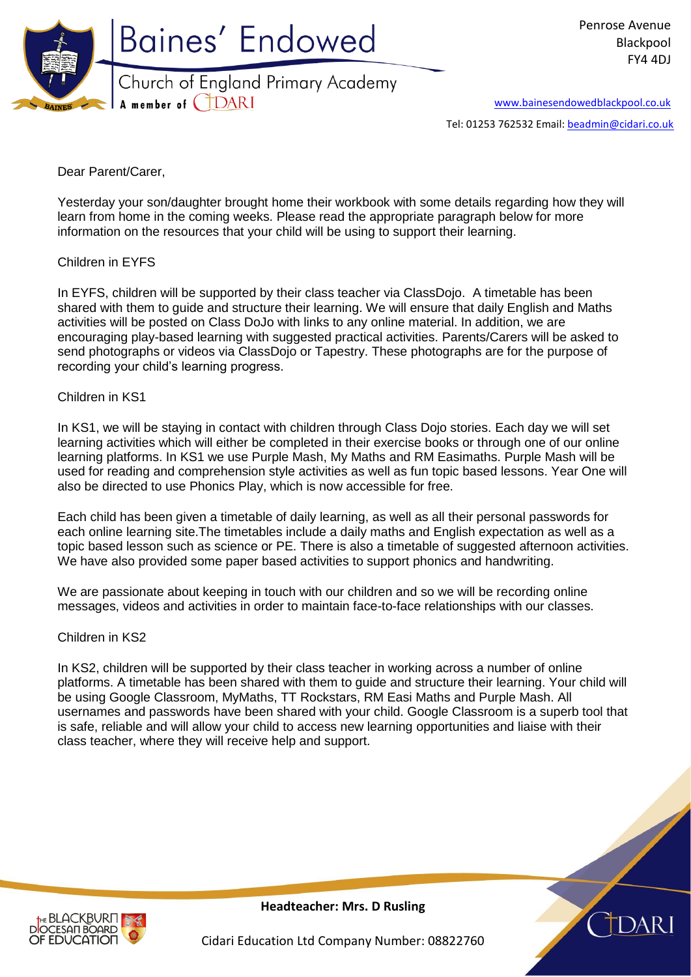

[www.bainesendowedblackpool.co.uk](http://www.bainesendowedblackpool.co.uk/)

Tel: 01253 762532 Email: [beadmin@cidari.co.uk](mailto:beadmin@cidari.co.uk)

Dear Parent/Carer,

Yesterday your son/daughter brought home their workbook with some details regarding how they will learn from home in the coming weeks. Please read the appropriate paragraph below for more information on the resources that your child will be using to support their learning.

## Children in EYFS

In EYFS, children will be supported by their class teacher via ClassDojo. A timetable has been shared with them to guide and structure their learning. We will ensure that daily English and Maths activities will be posted on Class DoJo with links to any online material. In addition, we are encouraging play-based learning with suggested practical activities. Parents/Carers will be asked to send photographs or videos via ClassDojo or Tapestry. These photographs are for the purpose of recording your child's learning progress.

## Children in KS1

In KS1, we will be staying in contact with children through Class Dojo stories. Each day we will set learning activities which will either be completed in their exercise books or through one of our online learning platforms. In KS1 we use Purple Mash, My Maths and RM Easimaths. Purple Mash will be used for reading and comprehension style activities as well as fun topic based lessons. Year One will also be directed to use Phonics Play, which is now accessible for free.

Each child has been given a timetable of daily learning, as well as all their personal passwords for each online learning site.The timetables include a daily maths and English expectation as well as a topic based lesson such as science or PE. There is also a timetable of suggested afternoon activities. We have also provided some paper based activities to support phonics and handwriting.

We are passionate about keeping in touch with our children and so we will be recording online messages, videos and activities in order to maintain face-to-face relationships with our classes.

## Children in KS2

In KS2, children will be supported by their class teacher in working across a number of online platforms. A timetable has been shared with them to guide and structure their learning. Your child will be using Google Classroom, MyMaths, TT Rockstars, RM Easi Maths and Purple Mash. All usernames and passwords have been shared with your child. Google Classroom is a superb tool that is safe, reliable and will allow your child to access new learning opportunities and liaise with their class teacher, where they will receive help and support.



**Headteacher: Mrs. D Rusling**